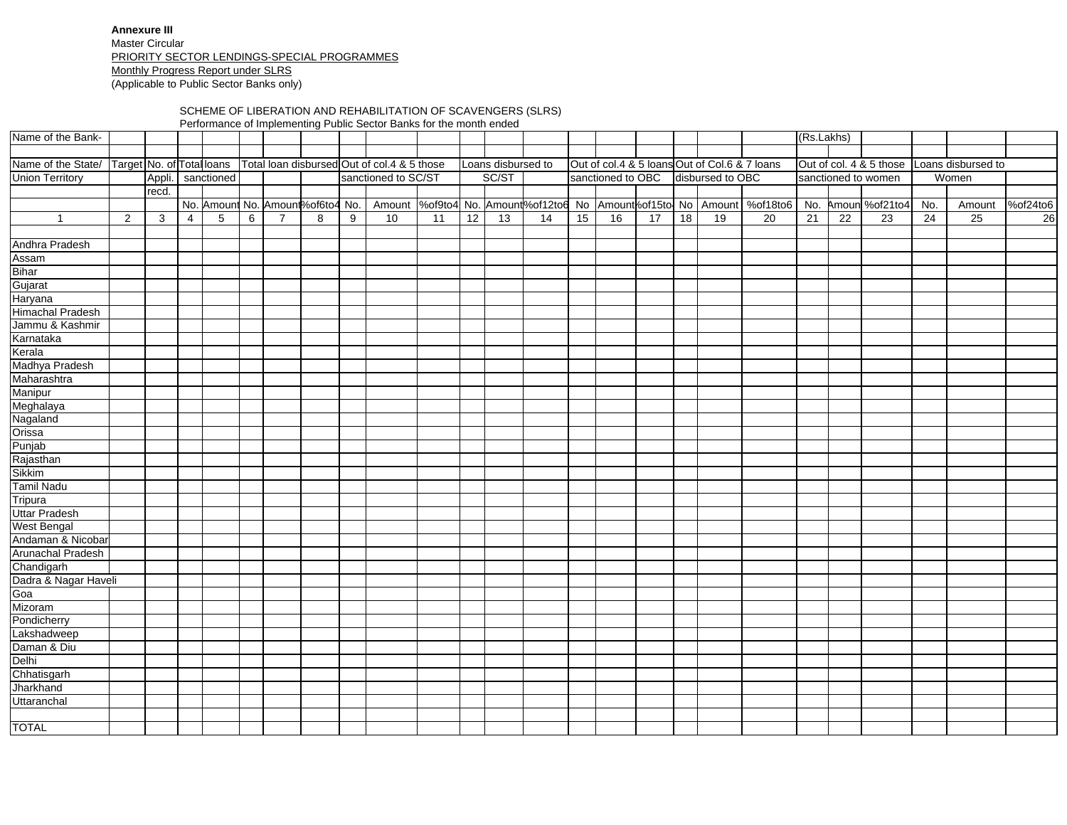**Annexure III** Master Circular PRIORITY SECTOR LENDINGS-SPECIAL PROGRAMMESMonthly Progress Report under SLRS (Applicable to Public Sector Banks only)

## SCHEME OF LIBERATION AND REHABILITATION OF SCAVENGERS (SLRS)

Performance of Implementing Public Sector Banks for the month ended

| Name of the Bank-                                                                        |                |       |                |                   |   |                |                                  |   |                     |    |    |                    |    |    |                   |                 |    |                                               |                                                                            | (Rs.Lakhs)      |                 |                         |                 |                    |          |
|------------------------------------------------------------------------------------------|----------------|-------|----------------|-------------------|---|----------------|----------------------------------|---|---------------------|----|----|--------------------|----|----|-------------------|-----------------|----|-----------------------------------------------|----------------------------------------------------------------------------|-----------------|-----------------|-------------------------|-----------------|--------------------|----------|
|                                                                                          |                |       |                |                   |   |                |                                  |   |                     |    |    |                    |    |    |                   |                 |    |                                               |                                                                            |                 |                 |                         |                 |                    |          |
| Name of the State/ Target No. of Total loans Total loan disbursed Out of col.4 & 5 those |                |       |                |                   |   |                |                                  |   |                     |    |    | Loans disbursed to |    |    |                   |                 |    | Out of col.4 & 5 loans Out of Col.6 & 7 loans |                                                                            |                 |                 | Out of col. 4 & 5 those |                 | Loans disbursed to |          |
| <b>Union Territory</b>                                                                   |                |       |                | Appli. sanctioned |   |                |                                  |   | sanctioned to SC/ST |    |    | SC/ST              |    |    | sanctioned to OBC |                 |    | disbursed to OBC                              |                                                                            |                 |                 | sanctioned to women     |                 | Women              |          |
|                                                                                          |                | recd. |                |                   |   |                |                                  |   |                     |    |    |                    |    |    |                   |                 |    |                                               |                                                                            |                 |                 |                         |                 |                    |          |
|                                                                                          |                |       |                |                   |   |                | No. Amount No. Amount%of6to4 No. |   |                     |    |    |                    |    |    |                   |                 |    |                                               | Amount  %of9to4 No. Amount %of12to6 No Amount %of15to No Amount   %of18to6 | No.             |                 | Amoun %of21to4          | No.             | Amount             | %of24to6 |
| $\overline{1}$                                                                           | $\overline{2}$ | 3     | $\overline{4}$ | 5                 | 6 | $\overline{7}$ | 8                                | 9 | 10                  | 11 | 12 | $\overline{13}$    | 14 | 15 | 16                | $\overline{17}$ | 18 | 19                                            | $\overline{20}$                                                            | $\overline{21}$ | $\overline{22}$ | $\overline{23}$         | $\overline{24}$ | $\overline{25}$    | 26       |
|                                                                                          |                |       |                |                   |   |                |                                  |   |                     |    |    |                    |    |    |                   |                 |    |                                               |                                                                            |                 |                 |                         |                 |                    |          |
| Andhra Pradesh                                                                           |                |       |                |                   |   |                |                                  |   |                     |    |    |                    |    |    |                   |                 |    |                                               |                                                                            |                 |                 |                         |                 |                    |          |
| Assam                                                                                    |                |       |                |                   |   |                |                                  |   |                     |    |    |                    |    |    |                   |                 |    |                                               |                                                                            |                 |                 |                         |                 |                    |          |
| Bihar                                                                                    |                |       |                |                   |   |                |                                  |   |                     |    |    |                    |    |    |                   |                 |    |                                               |                                                                            |                 |                 |                         |                 |                    |          |
| Gujarat                                                                                  |                |       |                |                   |   |                |                                  |   |                     |    |    |                    |    |    |                   |                 |    |                                               |                                                                            |                 |                 |                         |                 |                    |          |
| <b>Haryana</b>                                                                           |                |       |                |                   |   |                |                                  |   |                     |    |    |                    |    |    |                   |                 |    |                                               |                                                                            |                 |                 |                         |                 |                    |          |
| <b>Himachal Pradesh</b>                                                                  |                |       |                |                   |   |                |                                  |   |                     |    |    |                    |    |    |                   |                 |    |                                               |                                                                            |                 |                 |                         |                 |                    |          |
| Jammu & Kashmir                                                                          |                |       |                |                   |   |                |                                  |   |                     |    |    |                    |    |    |                   |                 |    |                                               |                                                                            |                 |                 |                         |                 |                    |          |
| Karnataka                                                                                |                |       |                |                   |   |                |                                  |   |                     |    |    |                    |    |    |                   |                 |    |                                               |                                                                            |                 |                 |                         |                 |                    |          |
| Kerala                                                                                   |                |       |                |                   |   |                |                                  |   |                     |    |    |                    |    |    |                   |                 |    |                                               |                                                                            |                 |                 |                         |                 |                    |          |
| Madhya Pradesh                                                                           |                |       |                |                   |   |                |                                  |   |                     |    |    |                    |    |    |                   |                 |    |                                               |                                                                            |                 |                 |                         |                 |                    |          |
| Maharashtra                                                                              |                |       |                |                   |   |                |                                  |   |                     |    |    |                    |    |    |                   |                 |    |                                               |                                                                            |                 |                 |                         |                 |                    |          |
| Manipur                                                                                  |                |       |                |                   |   |                |                                  |   |                     |    |    |                    |    |    |                   |                 |    |                                               |                                                                            |                 |                 |                         |                 |                    |          |
| Meghalaya                                                                                |                |       |                |                   |   |                |                                  |   |                     |    |    |                    |    |    |                   |                 |    |                                               |                                                                            |                 |                 |                         |                 |                    |          |
| Nagaland                                                                                 |                |       |                |                   |   |                |                                  |   |                     |    |    |                    |    |    |                   |                 |    |                                               |                                                                            |                 |                 |                         |                 |                    |          |
| Orissa<br>Punjab                                                                         |                |       |                |                   |   |                |                                  |   |                     |    |    |                    |    |    |                   |                 |    |                                               |                                                                            |                 |                 |                         |                 |                    |          |
|                                                                                          |                |       |                |                   |   |                |                                  |   |                     |    |    |                    |    |    |                   |                 |    |                                               |                                                                            |                 |                 |                         |                 |                    |          |
| Rajasthan                                                                                |                |       |                |                   |   |                |                                  |   |                     |    |    |                    |    |    |                   |                 |    |                                               |                                                                            |                 |                 |                         |                 |                    |          |
| Sikkim                                                                                   |                |       |                |                   |   |                |                                  |   |                     |    |    |                    |    |    |                   |                 |    |                                               |                                                                            |                 |                 |                         |                 |                    |          |
| Tamil Nadu                                                                               |                |       |                |                   |   |                |                                  |   |                     |    |    |                    |    |    |                   |                 |    |                                               |                                                                            |                 |                 |                         |                 |                    |          |
| Tripura                                                                                  |                |       |                |                   |   |                |                                  |   |                     |    |    |                    |    |    |                   |                 |    |                                               |                                                                            |                 |                 |                         |                 |                    |          |
| <b>Uttar Pradesh</b>                                                                     |                |       |                |                   |   |                |                                  |   |                     |    |    |                    |    |    |                   |                 |    |                                               |                                                                            |                 |                 |                         |                 |                    |          |
| West Bengal<br>Andaman & Nicobar                                                         |                |       |                |                   |   |                |                                  |   |                     |    |    |                    |    |    |                   |                 |    |                                               |                                                                            |                 |                 |                         |                 |                    |          |
|                                                                                          |                |       |                |                   |   |                |                                  |   |                     |    |    |                    |    |    |                   |                 |    |                                               |                                                                            |                 |                 |                         |                 |                    |          |
| Arunachal Pradesh                                                                        |                |       |                |                   |   |                |                                  |   |                     |    |    |                    |    |    |                   |                 |    |                                               |                                                                            |                 |                 |                         |                 |                    |          |
| Chandigarh<br>Dadra & Nagar Haveli<br>Goa                                                |                |       |                |                   |   |                |                                  |   |                     |    |    |                    |    |    |                   |                 |    |                                               |                                                                            |                 |                 |                         |                 |                    |          |
|                                                                                          |                |       |                |                   |   |                |                                  |   |                     |    |    |                    |    |    |                   |                 |    |                                               |                                                                            |                 |                 |                         |                 |                    |          |
|                                                                                          |                |       |                |                   |   |                |                                  |   |                     |    |    |                    |    |    |                   |                 |    |                                               |                                                                            |                 |                 |                         |                 |                    |          |
| Mizoram                                                                                  |                |       |                |                   |   |                |                                  |   |                     |    |    |                    |    |    |                   |                 |    |                                               |                                                                            |                 |                 |                         |                 |                    |          |
| Pondicherry                                                                              |                |       |                |                   |   |                |                                  |   |                     |    |    |                    |    |    |                   |                 |    |                                               |                                                                            |                 |                 |                         |                 |                    |          |
| Lakshadweep                                                                              |                |       |                |                   |   |                |                                  |   |                     |    |    |                    |    |    |                   |                 |    |                                               |                                                                            |                 |                 |                         |                 |                    |          |
| Daman & Diu                                                                              |                |       |                |                   |   |                |                                  |   |                     |    |    |                    |    |    |                   |                 |    |                                               |                                                                            |                 |                 |                         |                 |                    |          |
| Delhi<br>Chhatisgarh                                                                     |                |       |                |                   |   |                |                                  |   |                     |    |    |                    |    |    |                   |                 |    |                                               |                                                                            |                 |                 |                         |                 |                    |          |
|                                                                                          |                |       |                |                   |   |                |                                  |   |                     |    |    |                    |    |    |                   |                 |    |                                               |                                                                            |                 |                 |                         |                 |                    |          |
| Jharkhand                                                                                |                |       |                |                   |   |                |                                  |   |                     |    |    |                    |    |    |                   |                 |    |                                               |                                                                            |                 |                 |                         |                 |                    |          |
| Uttaranchal                                                                              |                |       |                |                   |   |                |                                  |   |                     |    |    |                    |    |    |                   |                 |    |                                               |                                                                            |                 |                 |                         |                 |                    |          |
|                                                                                          |                |       |                |                   |   |                |                                  |   |                     |    |    |                    |    |    |                   |                 |    |                                               |                                                                            |                 |                 |                         |                 |                    |          |
| <b>TOTAL</b>                                                                             |                |       |                |                   |   |                |                                  |   |                     |    |    |                    |    |    |                   |                 |    |                                               |                                                                            |                 |                 |                         |                 |                    |          |